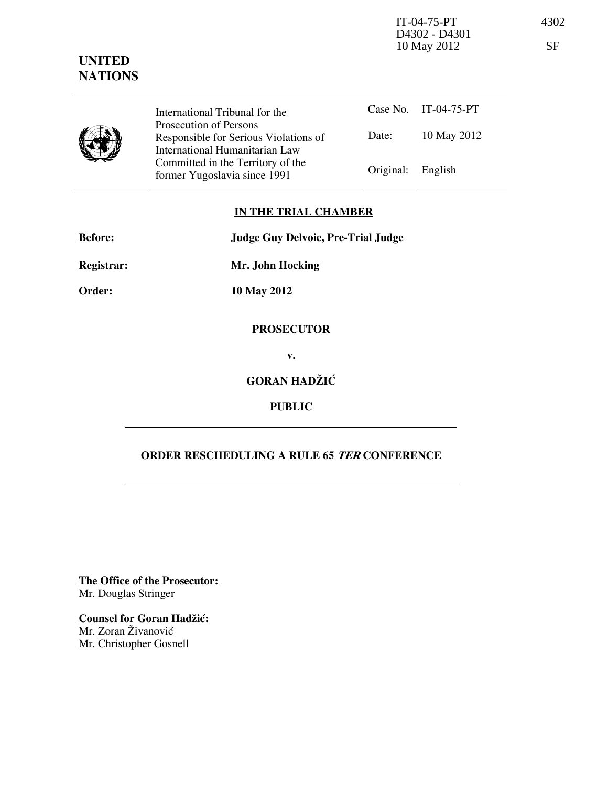IT-04-75-PT 4302 D4302 - D4301 10 May 2012 SF



Case No. IT-04-75-PT Date: 10 May 2012 International Tribunal for the Prosecution of Persons Responsible for Serious Violations of International Humanitarian Law Committed in the Territory of the Former Yugoslavia since 1991 **Original:** English

## IN THE TRIAL CHAMBER

Before: Judge Guy Delvoie, Pre-Trial Judge Registrar: Mr. John Hocking

Order: 10 May 2012

## PROSECUTOR

v.

## GORAN HADŽIĆ

PUBLIC

## ORDER RESCHEDULING A RULE 65 TER CONFERENCE

The Office of the Prosecutor: Mr. Douglas Stringer

**Counsel for Goran Hadžić:** Mr. Zoran Živanović Mr. Christopher Gosnell